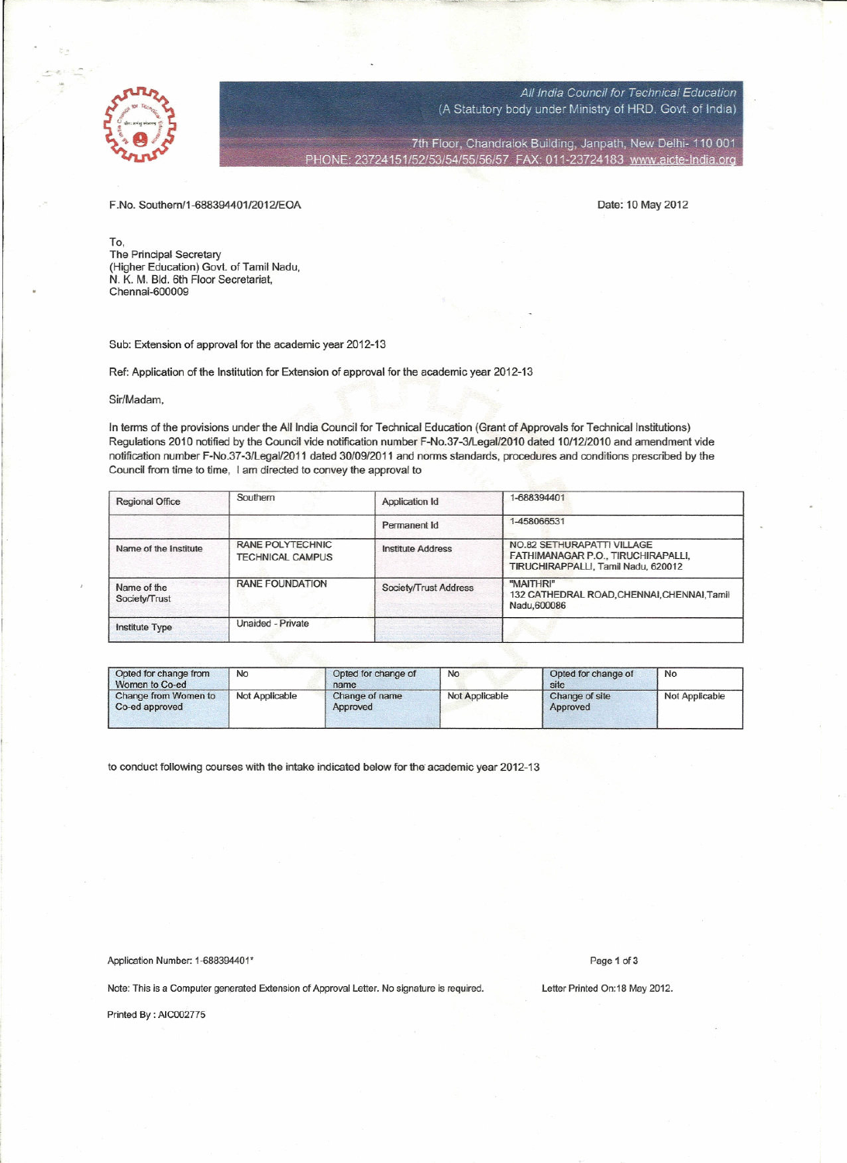

All India Council for Technical Education (A Statutory body under Ministry of HRD, Govt. of India)

7th Floor, Chandralok Building, Janpath, New Delhi- 110 001 PHONE: 23724151/52/53/54/55/56/57 FAX: 011-23724183 www.aicte-India.org

F.No. Southern/1-688394401/20121EOA Date: 10 May 2012

To, The Principal Secretary (Higher Education) Govt. of Tamil Nadu, N. K. M. Bid. 6th Floor Secretariat, Chennai-60000

Sub: Extension of approval for the academic year 2012-13

r--------=-------co--------=~----------\_\_\_=;\_-~---\_-\_- - ~.-..

Ref: Application of the Institution for Extension of approval for the academic year 2012-13

## Sir/Madam,

In terms of the provisions under the All India Council for Technical Education (Grant of Approvals for Technical lnstitutions) Regulations 2010 notified by the Council vide notification number F-No.37 -3/LegaIl201 0 dated *10/1212010* and amendment vide notification number F-No.37 -3/LegaIl2011 dated 30/09/2011 and norms standards, procedures and conditions prescribed by the Council from time to time, I am directed to convey the approval to

| <b>Regional Office</b>       | Southern                                           | Application Id           | 1-688394401                                                                                             |  |  |
|------------------------------|----------------------------------------------------|--------------------------|---------------------------------------------------------------------------------------------------------|--|--|
|                              |                                                    | Permanent Id             | 1-458066531                                                                                             |  |  |
| Name of the Institute        | <b>RANE POLYTECHNIC</b><br><b>TECHNICAL CAMPUS</b> | <b>Institute Address</b> | NO.82 SETHURAPATTI VILLAGE<br>FATHIMANAGAR P.O., TIRUCHIRAPALLI,<br>TIRUCHIRAPPALLI, Tamil Nadu, 620012 |  |  |
| Name of the<br>Society/Trust | <b>RANE FOUNDATION</b>                             | Society/Trust Address    | "MAITHRI"<br>132 CATHEDRAL ROAD, CHENNAI, CHENNAI, Tamil<br>Nadu, 600086                                |  |  |
| Institute Type               | Unaided - Private                                  |                          |                                                                                                         |  |  |

| Opted for change from<br>Women to Co-ed | No             | Opted for change of<br>name | No             | Opted for change of<br>site | <b>No</b>      |
|-----------------------------------------|----------------|-----------------------------|----------------|-----------------------------|----------------|
| Change from Women to<br>Co-ed approved  | Not Applicable | Change of name<br>Approved  | Not Applicable | Change of site<br>Approved  | Not Applicable |

to conduct following courses with the intake indicated below for the academic year 2012-13

Application Number: 1-688394401\* Page 1 of 3

Note: This is a Computer generated Extension of Approval Letter. No signature is required. Letter Printed On:18 May 2012.

Printed By : AIC002775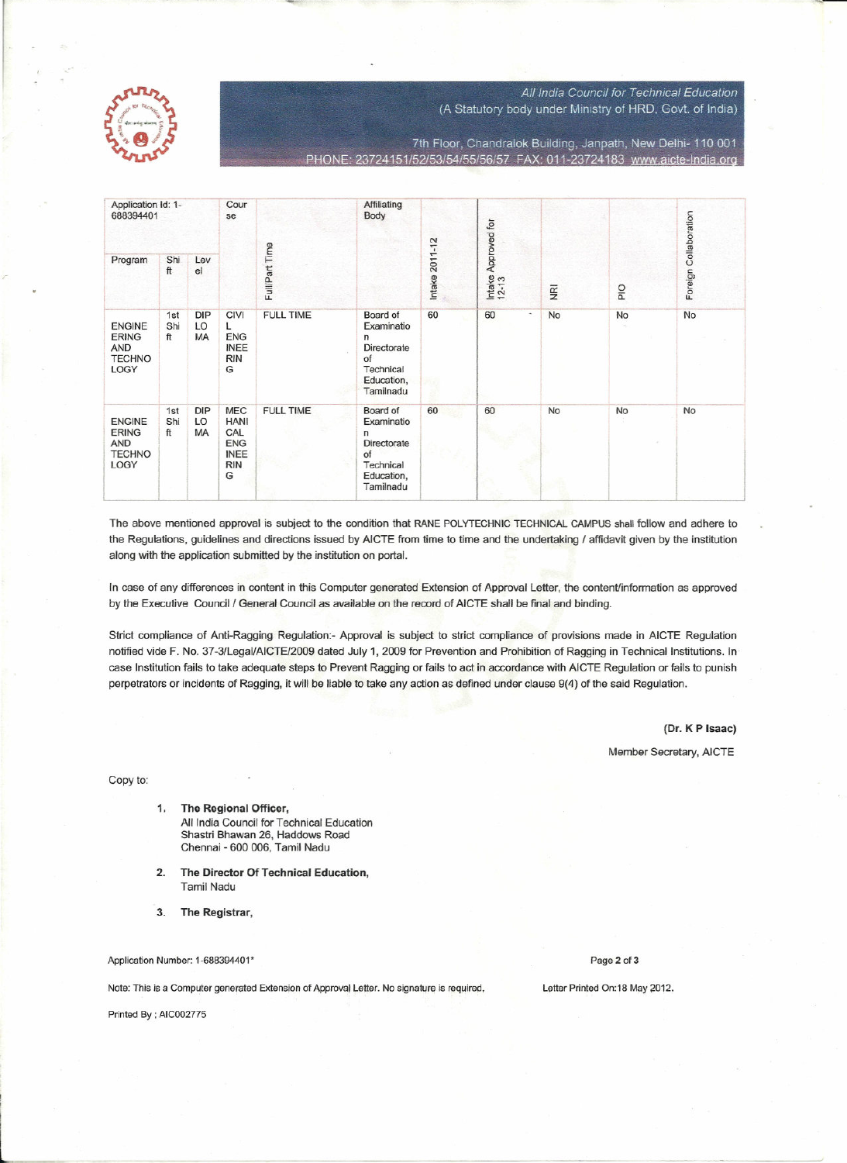

## All India Council for Technical Education

(A Statutory body under Ministry of HRD, Govt. of India)

7th Floor, Chandralok Building, Janpath, New Delhi- 110 001 23724151/52/53/54/55/56/57 FAX: 011-23724183 www.aicte-India.org

| Application Id: 1-<br>688394401                               |                  | Cour<br>se      |                                                                                  | Affiliating<br>Body |                                                                                          | Approved for |                                |                |    |                |                 |                |     |                       |
|---------------------------------------------------------------|------------------|-----------------|----------------------------------------------------------------------------------|---------------------|------------------------------------------------------------------------------------------|--------------|--------------------------------|----------------|----|----------------|-----------------|----------------|-----|-----------------------|
| Program                                                       | Shi<br>ft        | Lev<br>el       |                                                                                  |                     |                                                                                          |              |                                | Full/Part Time |    | Intake 2011-12 | Intake<br>12-13 | $\overline{R}$ | PIO | Foreign Collaboration |
| <b>ENGINE</b><br><b>ERING</b><br>AND<br><b>TECHNO</b><br>LOGY | 1st<br>Shi<br>ft | DIP<br>LO<br>MA | <b>CIVI</b><br>L<br>ENG<br><b>INEE</b><br><b>RIN</b><br>G                        | <b>FULL TIME</b>    | Board of<br>Examinatio<br>n<br>Directorate<br>of<br>Technical<br>Education,<br>Tamilnadu | 60           | 60<br>$\overline{\phantom{a}}$ | No             | No | No             |                 |                |     |                       |
| <b>ENGINE</b><br><b>ERING</b><br>AND<br><b>TECHNO</b><br>LOGY | 1st<br>Shi<br>ft | DIP<br>LO<br>MA | <b>MEC</b><br><b>HANI</b><br>CAL<br><b>ENG</b><br><b>INEE</b><br><b>RIN</b><br>G | <b>FULL TIME</b>    | Board of<br>Examinatio<br>n<br>Directorate<br>of<br>Technical<br>Education,<br>Tamilnadu | 60           | 60                             | No             | No | No             |                 |                |     |                       |

The above mentioned approval is subject to the condition that RANE POLYTECHNIC TECHNICAL CAMPUS shall follow and adhere to the Regulations, guidelines and directions issued by AICTE from time to time and the undertaking / affidavit given by the institution along with the application submitted by the institution on portal.

In case of any differences in content in this Computer generated Extension of Approval Letter, the content/information as approved by the Executive Council / General Council as available on the record of AICTE shall be final and binding.

Strict compliance of Anti-Ragging Regulation:- Approval is subject to strict compliance of provisions made in AICTE Regulation notified vide F. No. 37-3/Legal/AICTE/2009 dated July 1, 2009 for Prevention and Prohibition of Ragging in Technical Institutions. In case Institution fails to take adequate steps to Prevent Ragging or fails to act in accordance with AICTE Regulation or fails to punish perpetrators or incidents of Ragging, it will be liable to take any action as defined under clause 9(4) of the said Regulation.

(Dr. K P Isaac)

Member Secretary, AICTE

Copy to:

- $1.$ The Regional Officer, All India Council for Technical Education Shastri Bhawan 26, Haddows Road Chennai - 600 006, Tamil Nadu
- $2.$ The Director Of Technical Education, **Tamil Nadu**
- The Registrar,  $3<sub>1</sub>$

Application Number: 1-688394401\*

Note: This is a Computer generated Extension of Approval Letter. No signature is required.

Printed By ; AIC002775

Page 2 of 3

Letter Printed On:18 May 2012.